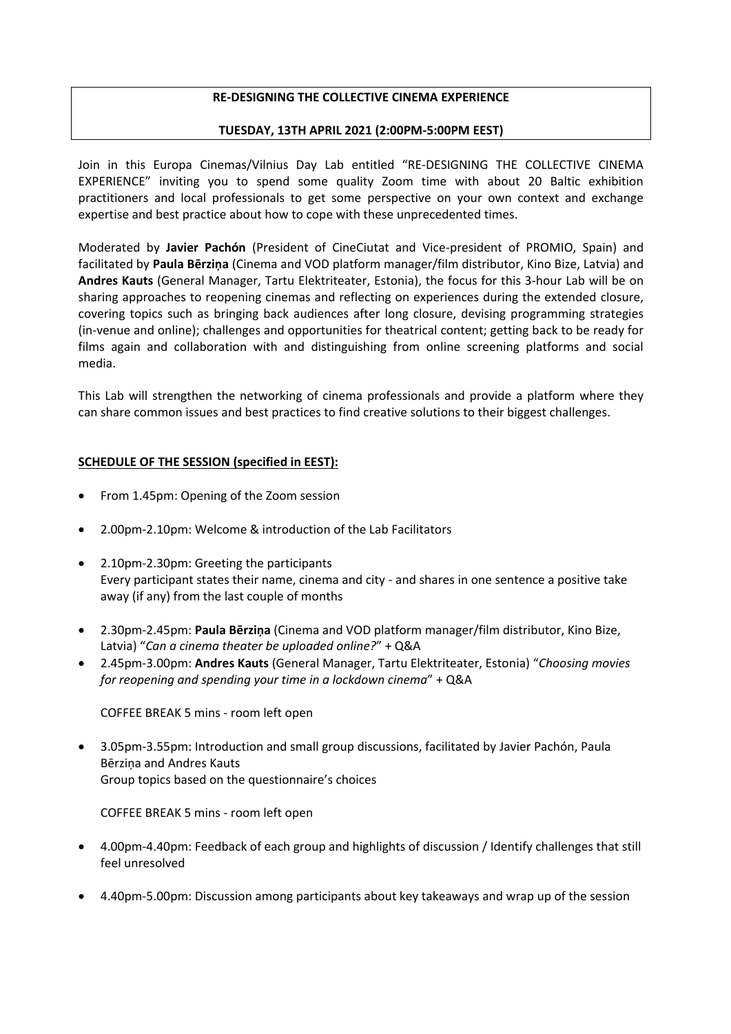## **RE-DESIGNING THE COLLECTIVE CINEMA EXPERIENCE**

## **TUESDAY, 13TH APRIL 2021 (2:00PM-5:00PM EEST)**

Join in this Europa Cinemas/Vilnius Day Lab entitled "RE-DESIGNING THE COLLECTIVE CINEMA EXPERIENCE" inviting you to spend some quality Zoom time with about 20 Baltic exhibition practitioners and local professionals to get some perspective on your own context and exchange expertise and best practice about how to cope with these unprecedented times.

Moderated by **Javier Pachón** (President of CineCiutat and Vice-president of PROMIO, Spain) and facilitated by **Paula Bērziņa** (Cinema and VOD platform manager/film distributor, Kino Bize, Latvia) and **Andres Kauts** (General Manager, Tartu Elektriteater, Estonia), the focus for this 3-hour Lab will be on sharing approaches to reopening cinemas and reflecting on experiences during the extended closure, covering topics such as bringing back audiences after long closure, devising programming strategies (in-venue and online); challenges and opportunities for theatrical content; getting back to be ready for films again and collaboration with and distinguishing from online screening platforms and social media.

This Lab will strengthen the networking of cinema professionals and provide a platform where they can share common issues and best practices to find creative solutions to their biggest challenges.

## **SCHEDULE OF THE SESSION (specified in EEST):**

- From 1.45pm: Opening of the Zoom session
- 2.00pm-2.10pm: Welcome & introduction of the Lab Facilitators
- 2.10pm-2.30pm: Greeting the participants Every participant states their name, cinema and city - and shares in one sentence a positive take away (if any) from the last couple of months
- 2.30pm-2.45pm: **Paula Bērziņa** (Cinema and VOD platform manager/film distributor, Kino Bize, Latvia) "*Can a cinema theater be uploaded online?*" + Q&A
- 2.45pm-3.00pm: **Andres Kauts** (General Manager, Tartu Elektriteater, Estonia) "*Choosing movies for reopening and spending your time in a lockdown cinema*" + Q&A

COFFEE BREAK 5 mins - room left open

 3.05pm-3.55pm: Introduction and small group discussions, facilitated by Javier Pachón, Paula Bērziņa and Andres Kauts Group topics based on the questionnaire's choices

COFFEE BREAK 5 mins - room left open

- 4.00pm-4.40pm: Feedback of each group and highlights of discussion / Identify challenges that still feel unresolved
- 4.40pm-5.00pm: Discussion among participants about key takeaways and wrap up of the session